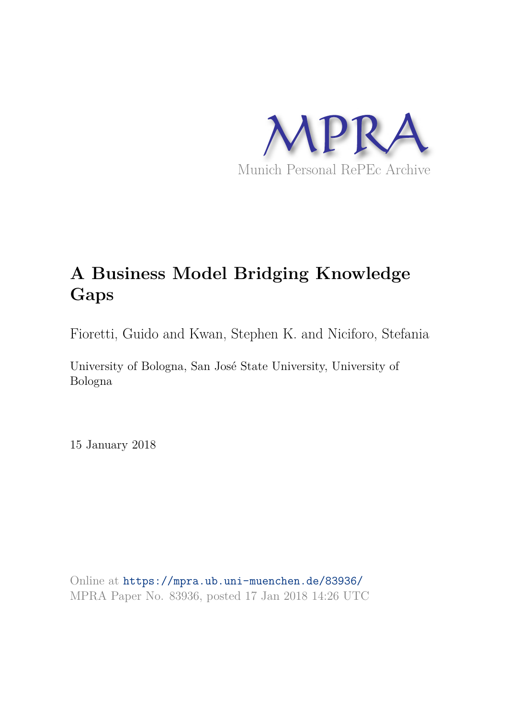

# **A Business Model Bridging Knowledge Gaps**

Fioretti, Guido and Kwan, Stephen K. and Niciforo, Stefania

University of Bologna, San José State University, University of Bologna

15 January 2018

Online at https://mpra.ub.uni-muenchen.de/83936/ MPRA Paper No. 83936, posted 17 Jan 2018 14:26 UTC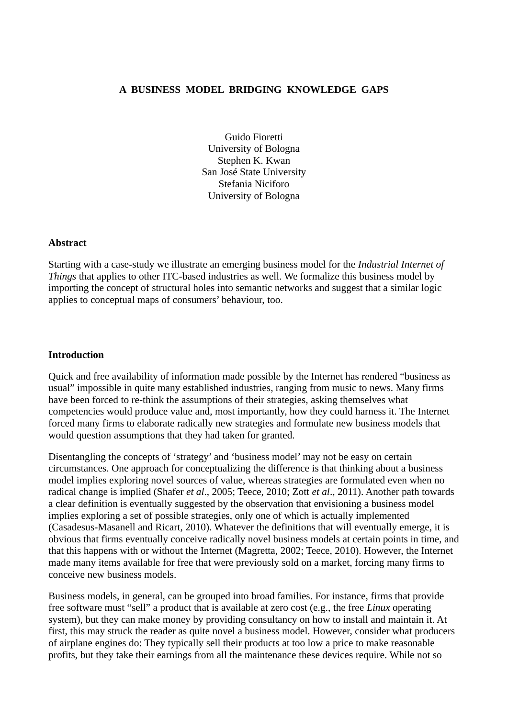## **A BUSINESS MODEL BRIDGING KNOWLEDGE GAPS**

Guido Fioretti University of Bologna Stephen K. Kwan San José State University Stefania Niciforo University of Bologna

#### **Abstract**

Starting with a case-study we illustrate an emerging business model for the *Industrial Internet of Things* that applies to other ITC-based industries as well. We formalize this business model by importing the concept of structural holes into semantic networks and suggest that a similar logic applies to conceptual maps of consumers' behaviour, too.

#### **Introduction**

Quick and free availability of information made possible by the Internet has rendered "business as usual" impossible in quite many established industries, ranging from music to news. Many firms have been forced to re-think the assumptions of their strategies, asking themselves what competencies would produce value and, most importantly, how they could harness it. The Internet forced many firms to elaborate radically new strategies and formulate new business models that would question assumptions that they had taken for granted.

Disentangling the concepts of 'strategy' and 'business model' may not be easy on certain circumstances. One approach for conceptualizing the difference is that thinking about a business model implies exploring novel sources of value, whereas strategies are formulated even when no radical change is implied (Shafer *et al*., 2005; Teece, 2010; Zott *et al*., 2011). Another path towards a clear definition is eventually suggested by the observation that envisioning a business model implies exploring a set of possible strategies, only one of which is actually implemented (Casadesus-Masanell and Ricart, 2010). Whatever the definitions that will eventually emerge, it is obvious that firms eventually conceive radically novel business models at certain points in time, and that this happens with or without the Internet (Magretta, 2002; Teece, 2010). However, the Internet made many items available for free that were previously sold on a market, forcing many firms to conceive new business models.

Business models, in general, can be grouped into broad families. For instance, firms that provide free software must "sell" a product that is available at zero cost (e.g., the free *Linux* operating system), but they can make money by providing consultancy on how to install and maintain it. At first, this may struck the reader as quite novel a business model. However, consider what producers of airplane engines do: They typically sell their products at too low a price to make reasonable profits, but they take their earnings from all the maintenance these devices require. While not so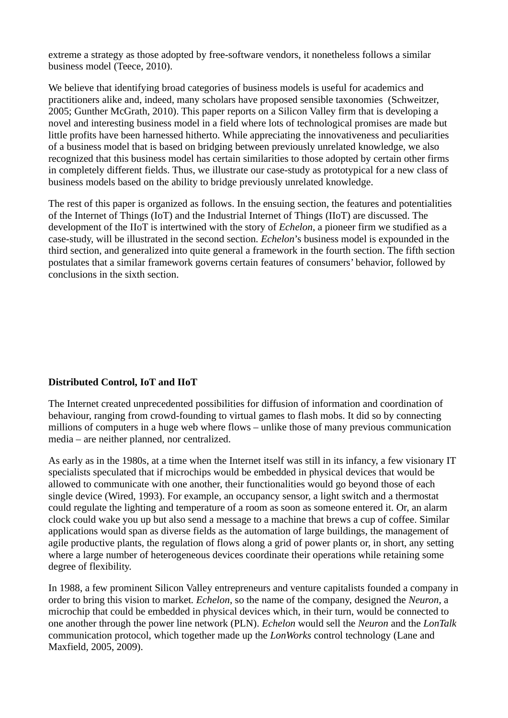extreme a strategy as those adopted by free-software vendors, it nonetheless follows a similar business model (Teece, 2010).

We believe that identifying broad categories of business models is useful for academics and practitioners alike and, indeed, many scholars have proposed sensible taxonomies (Schweitzer, 2005; Gunther McGrath, 2010). This paper reports on a Silicon Valley firm that is developing a novel and interesting business model in a field where lots of technological promises are made but little profits have been harnessed hitherto. While appreciating the innovativeness and peculiarities of a business model that is based on bridging between previously unrelated knowledge, we also recognized that this business model has certain similarities to those adopted by certain other firms in completely different fields. Thus, we illustrate our case-study as prototypical for a new class of business models based on the ability to bridge previously unrelated knowledge.

The rest of this paper is organized as follows. In the ensuing section, the features and potentialities of the Internet of Things (IoT) and the Industrial Internet of Things (IIoT) are discussed. The development of the IIoT is intertwined with the story of *Echelon*, a pioneer firm we studified as a case-study, will be illustrated in the second section. *Echelon*'s business model is expounded in the third section, and generalized into quite general a framework in the fourth section. The fifth section postulates that a similar framework governs certain features of consumers' behavior, followed by conclusions in the sixth section.

# **Distributed Control, IoT and IIoT**

The Internet created unprecedented possibilities for diffusion of information and coordination of behaviour, ranging from crowd-founding to virtual games to flash mobs. It did so by connecting millions of computers in a huge web where flows – unlike those of many previous communication media – are neither planned, nor centralized.

As early as in the 1980s, at a time when the Internet itself was still in its infancy, a few visionary IT specialists speculated that if microchips would be embedded in physical devices that would be allowed to communicate with one another, their functionalities would go beyond those of each single device (Wired, 1993). For example, an occupancy sensor, a light switch and a thermostat could regulate the lighting and temperature of a room as soon as someone entered it. Or, an alarm clock could wake you up but also send a message to a machine that brews a cup of coffee. Similar applications would span as diverse fields as the automation of large buildings, the management of agile productive plants, the regulation of flows along a grid of power plants or, in short, any setting where a large number of heterogeneous devices coordinate their operations while retaining some degree of flexibility.

In 1988, a few prominent Silicon Valley entrepreneurs and venture capitalists founded a company in order to bring this vision to market*. Echelon*, so the name of the company, designed the *Neuron*, a microchip that could be embedded in physical devices which, in their turn, would be connected to one another through the power line network (PLN). *Echelon* would sell the *Neuron* and the *LonTalk* communication protocol, which together made up the *LonWorks* control technology (Lane and Maxfield, 2005, 2009).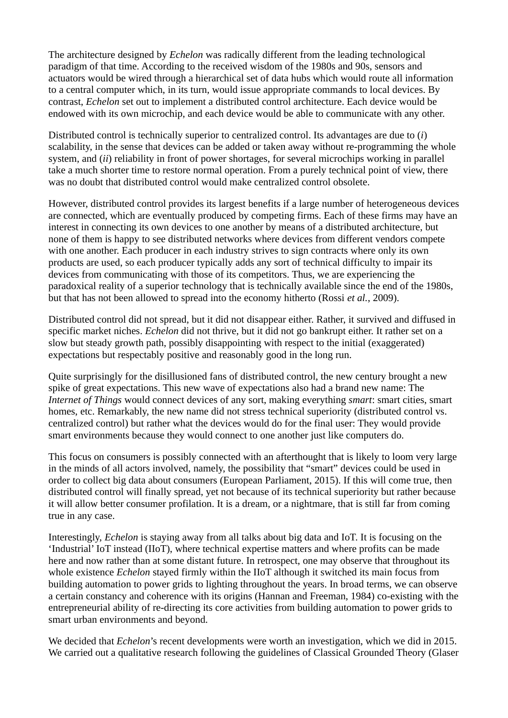The architecture designed by *Echelon* was radically different from the leading technological paradigm of that time. According to the received wisdom of the 1980s and 90s, sensors and actuators would be wired through a hierarchical set of data hubs which would route all information to a central computer which, in its turn, would issue appropriate commands to local devices. By contrast, *Echelon* set out to implement a distributed control architecture. Each device would be endowed with its own microchip, and each device would be able to communicate with any other.

Distributed control is technically superior to centralized control. Its advantages are due to (*i*) scalability, in the sense that devices can be added or taken away without re-programming the whole system, and (*ii*) reliability in front of power shortages, for several microchips working in parallel take a much shorter time to restore normal operation. From a purely technical point of view, there was no doubt that distributed control would make centralized control obsolete.

However, distributed control provides its largest benefits if a large number of heterogeneous devices are connected, which are eventually produced by competing firms. Each of these firms may have an interest in connecting its own devices to one another by means of a distributed architecture, but none of them is happy to see distributed networks where devices from different vendors compete with one another. Each producer in each industry strives to sign contracts where only its own products are used, so each producer typically adds any sort of technical difficulty to impair its devices from communicating with those of its competitors. Thus, we are experiencing the paradoxical reality of a superior technology that is technically available since the end of the 1980s, but that has not been allowed to spread into the economy hitherto (Rossi *et al.*, 2009).

Distributed control did not spread, but it did not disappear either. Rather, it survived and diffused in specific market niches. *Echelon* did not thrive, but it did not go bankrupt either. It rather set on a slow but steady growth path, possibly disappointing with respect to the initial (exaggerated) expectations but respectably positive and reasonably good in the long run.

Quite surprisingly for the disillusioned fans of distributed control, the new century brought a new spike of great expectations. This new wave of expectations also had a brand new name: The *Internet of Things* would connect devices of any sort, making everything *smart*: smart cities, smart homes, etc. Remarkably, the new name did not stress technical superiority (distributed control vs. centralized control) but rather what the devices would do for the final user: They would provide smart environments because they would connect to one another just like computers do.

This focus on consumers is possibly connected with an afterthought that is likely to loom very large in the minds of all actors involved, namely, the possibility that "smart" devices could be used in order to collect big data about consumers (European Parliament, 2015). If this will come true, then distributed control will finally spread, yet not because of its technical superiority but rather because it will allow better consumer profilation. It is a dream, or a nightmare, that is still far from coming true in any case.

Interestingly, *Echelon* is staying away from all talks about big data and IoT. It is focusing on the 'Industrial' IoT instead (IIoT), where technical expertise matters and where profits can be made here and now rather than at some distant future. In retrospect, one may observe that throughout its whole existence *Echelon* stayed firmly within the IIoT although it switched its main focus from building automation to power grids to lighting throughout the years. In broad terms, we can observe a certain constancy and coherence with its origins (Hannan and Freeman, 1984) co-existing with the entrepreneurial ability of re-directing its core activities from building automation to power grids to smart urban environments and beyond.

We decided that *Echelon*'s recent developments were worth an investigation, which we did in 2015. We carried out a qualitative research following the guidelines of Classical Grounded Theory (Glaser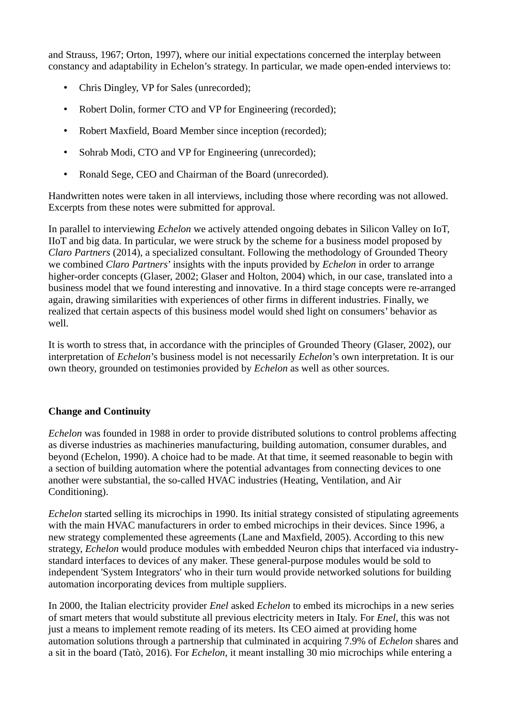and Strauss, 1967; Orton, 1997), where our initial expectations concerned the interplay between constancy and adaptability in Echelon's strategy. In particular, we made open-ended interviews to:

- Chris Dingley, VP for Sales (unrecorded);
- Robert Dolin, former CTO and VP for Engineering (recorded);
- Robert Maxfield, Board Member since inception (recorded);
- Sohrab Modi, CTO and VP for Engineering (unrecorded);
- Ronald Sege, CEO and Chairman of the Board (unrecorded).

Handwritten notes were taken in all interviews, including those where recording was not allowed. Excerpts from these notes were submitted for approval.

In parallel to interviewing *Echelon* we actively attended ongoing debates in Silicon Valley on IoT, IIoT and big data. In particular, we were struck by the scheme for a business model proposed by *Claro Partners* (2014), a specialized consultant. Following the methodology of Grounded Theory we combined *Claro Partners*' insights with the inputs provided by *Echelon* in order to arrange higher-order concepts (Glaser, 2002; Glaser and Holton, 2004) which, in our case, translated into a business model that we found interesting and innovative. In a third stage concepts were re-arranged again, drawing similarities with experiences of other firms in different industries. Finally, we realized that certain aspects of this business model would shed light on consumers' behavior as well.

It is worth to stress that, in accordance with the principles of Grounded Theory (Glaser, 2002), our interpretation of *Echelon*'s business model is not necessarily *Echelon*'s own interpretation. It is our own theory, grounded on testimonies provided by *Echelon* as well as other sources.

# **Change and Continuity**

*Echelon* was founded in 1988 in order to provide distributed solutions to control problems affecting as diverse industries as machineries manufacturing, building automation, consumer durables, and beyond (Echelon, 1990). A choice had to be made. At that time, it seemed reasonable to begin with a section of building automation where the potential advantages from connecting devices to one another were substantial, the so-called HVAC industries (Heating, Ventilation, and Air Conditioning).

*Echelon* started selling its microchips in 1990. Its initial strategy consisted of stipulating agreements with the main HVAC manufacturers in order to embed microchips in their devices. Since 1996, a new strategy complemented these agreements (Lane and Maxfield, 2005). According to this new strategy, *Echelon* would produce modules with embedded Neuron chips that interfaced via industrystandard interfaces to devices of any maker. These general-purpose modules would be sold to independent 'System Integrators' who in their turn would provide networked solutions for building automation incorporating devices from multiple suppliers.

In 2000, the Italian electricity provider *Enel* asked *Echelon* to embed its microchips in a new series of smart meters that would substitute all previous electricity meters in Italy. For *Enel*, this was not just a means to implement remote reading of its meters. Its CEO aimed at providing home automation solutions through a partnership that culminated in acquiring 7.9% of *Echelon* shares and a sit in the board (Tatò, 2016). For *Echelon*, it meant installing 30 mio microchips while entering a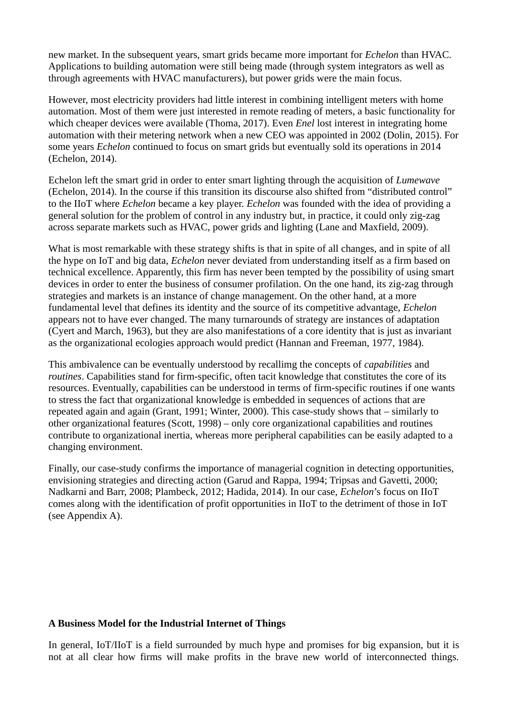new market. In the subsequent years, smart grids became more important for *Echelon* than HVAC. Applications to building automation were still being made (through system integrators as well as through agreements with HVAC manufacturers), but power grids were the main focus.

However, most electricity providers had little interest in combining intelligent meters with home automation. Most of them were just interested in remote reading of meters, a basic functionality for which cheaper devices were available (Thoma, 2017). Even *Enel* lost interest in integrating home automation with their metering network when a new CEO was appointed in 2002 (Dolin, 2015). For some years *Echelon* continued to focus on smart grids but eventually sold its operations in 2014 (Echelon, 2014).

Echelon left the smart grid in order to enter smart lighting through the acquisition of *Lumewave* (Echelon, 2014). In the course if this transition its discourse also shifted from "distributed control" to the IIoT where *Echelon* became a key player. *Echelon* was founded with the idea of providing a general solution for the problem of control in any industry but, in practice, it could only zig-zag across separate markets such as HVAC, power grids and lighting (Lane and Maxfield, 2009).

What is most remarkable with these strategy shifts is that in spite of all changes, and in spite of all the hype on IoT and big data, *Echelon* never deviated from understanding itself as a firm based on technical excellence. Apparently, this firm has never been tempted by the possibility of using smart devices in order to enter the business of consumer profilation. On the one hand, its zig-zag through strategies and markets is an instance of change management. On the other hand, at a more fundamental level that defines its identity and the source of its competitive advantage, *Echelon* appears not to have ever changed. The many turnarounds of strategy are instances of adaptation (Cyert and March, 1963), but they are also manifestations of a core identity that is just as invariant as the organizational ecologies approach would predict (Hannan and Freeman, 1977, 1984).

This ambivalence can be eventually understood by recallimg the concepts of *capabilities* and *routines*. Capabilities stand for firm-specific, often tacit knowledge that constitutes the core of its resources. Eventually, capabilities can be understood in terms of firm-specific routines if one wants to stress the fact that organizational knowledge is embedded in sequences of actions that are repeated again and again (Grant, 1991; Winter, 2000). This case-study shows that – similarly to other organizational features (Scott, 1998) – only core organizational capabilities and routines contribute to organizational inertia, whereas more peripheral capabilities can be easily adapted to a changing environment.

Finally, our case-study confirms the importance of managerial cognition in detecting opportunities, envisioning strategies and directing action (Garud and Rappa, 1994; Tripsas and Gavetti, 2000; Nadkarni and Barr, 2008; Plambeck, 2012; Hadida, 2014). In our case, *Echelon*'s focus on IIoT comes along with the identification of profit opportunities in IIoT to the detriment of those in IoT (see Appendix A).

## **A Business Model for the Industrial Internet of Things**

In general, IoT/IIoT is a field surrounded by much hype and promises for big expansion, but it is not at all clear how firms will make profits in the brave new world of interconnected things.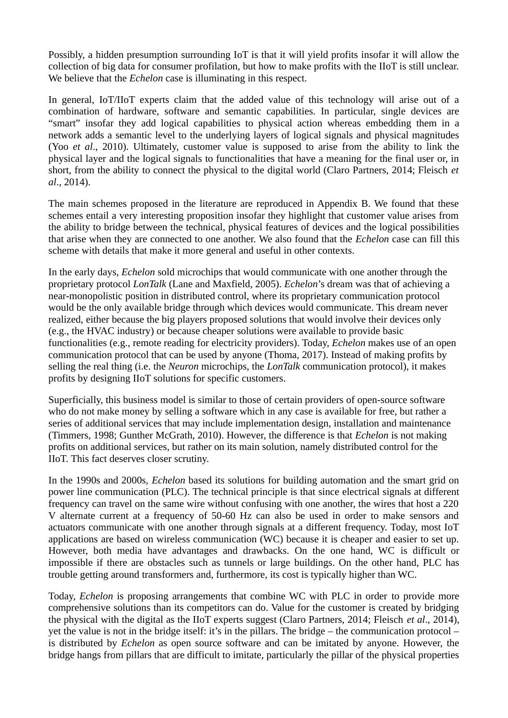Possibly, a hidden presumption surrounding IoT is that it will yield profits insofar it will allow the collection of big data for consumer profilation, but how to make profits with the IIoT is still unclear. We believe that the *Echelon* case is illuminating in this respect.

In general, IoT/IIoT experts claim that the added value of this technology will arise out of a combination of hardware, software and semantic capabilities. In particular, single devices are "smart" insofar they add logical capabilities to physical action whereas embedding them in a network adds a semantic level to the underlying layers of logical signals and physical magnitudes (Yoo *et al*., 2010). Ultimately, customer value is supposed to arise from the ability to link the physical layer and the logical signals to functionalities that have a meaning for the final user or, in short, from the ability to connect the physical to the digital world (Claro Partners, 2014; Fleisch *et al*., 2014).

The main schemes proposed in the literature are reproduced in Appendix B. We found that these schemes entail a very interesting proposition insofar they highlight that customer value arises from the ability to bridge between the technical, physical features of devices and the logical possibilities that arise when they are connected to one another. We also found that the *Echelon* case can fill this scheme with details that make it more general and useful in other contexts.

In the early days, *Echelon* sold microchips that would communicate with one another through the proprietary protocol *LonTalk* (Lane and Maxfield, 2005). *Echelon*'s dream was that of achieving a near-monopolistic position in distributed control, where its proprietary communication protocol would be the only available bridge through which devices would communicate. This dream never realized, either because the big players proposed solutions that would involve their devices only (e.g., the HVAC industry) or because cheaper solutions were available to provide basic functionalities (e.g., remote reading for electricity providers). Today, *Echelon* makes use of an open communication protocol that can be used by anyone (Thoma, 2017). Instead of making profits by selling the real thing (i.e. the *Neuron* microchips, the *LonTalk* communication protocol), it makes profits by designing IIoT solutions for specific customers.

Superficially, this business model is similar to those of certain providers of open-source software who do not make money by selling a software which in any case is available for free, but rather a series of additional services that may include implementation design, installation and maintenance (Timmers, 1998; Gunther McGrath, 2010). However, the difference is that *Echelon* is not making profits on additional services, but rather on its main solution, namely distributed control for the IIoT. This fact deserves closer scrutiny.

In the 1990s and 2000s, *Echelon* based its solutions for building automation and the smart grid on power line communication (PLC). The technical principle is that since electrical signals at different frequency can travel on the same wire without confusing with one another, the wires that host a 220 V alternate current at a frequency of 50-60 Hz can also be used in order to make sensors and actuators communicate with one another through signals at a different frequency. Today, most IoT applications are based on wireless communication (WC) because it is cheaper and easier to set up. However, both media have advantages and drawbacks. On the one hand, WC is difficult or impossible if there are obstacles such as tunnels or large buildings. On the other hand, PLC has trouble getting around transformers and, furthermore, its cost is typically higher than WC.

Today, *Echelon* is proposing arrangements that combine WC with PLC in order to provide more comprehensive solutions than its competitors can do. Value for the customer is created by bridging the physical with the digital as the IIoT experts suggest (Claro Partners, 2014; Fleisch *et al*., 2014), yet the value is not in the bridge itself: it's in the pillars. The bridge – the communication protocol – is distributed by *Echelon* as open source software and can be imitated by anyone. However, the bridge hangs from pillars that are difficult to imitate, particularly the pillar of the physical properties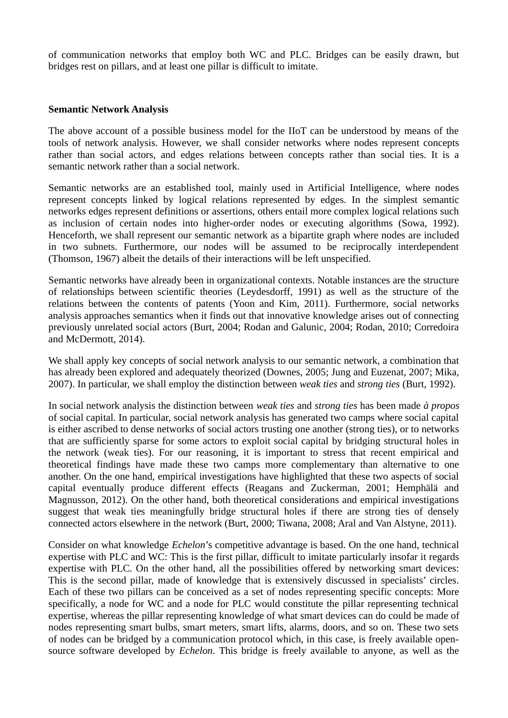of communication networks that employ both WC and PLC. Bridges can be easily drawn, but bridges rest on pillars, and at least one pillar is difficult to imitate.

#### **Semantic Network Analysis**

The above account of a possible business model for the IIoT can be understood by means of the tools of network analysis. However, we shall consider networks where nodes represent concepts rather than social actors, and edges relations between concepts rather than social ties. It is a semantic network rather than a social network.

Semantic networks are an established tool, mainly used in Artificial Intelligence, where nodes represent concepts linked by logical relations represented by edges. In the simplest semantic networks edges represent definitions or assertions, others entail more complex logical relations such as inclusion of certain nodes into higher-order nodes or executing algorithms (Sowa, 1992). Henceforth, we shall represent our semantic network as a bipartite graph where nodes are included in two subnets. Furthermore, our nodes will be assumed to be reciprocally interdependent (Thomson, 1967) albeit the details of their interactions will be left unspecified.

Semantic networks have already been in organizational contexts. Notable instances are the structure of relationships between scientific theories (Leydesdorff, 1991) as well as the structure of the relations between the contents of patents (Yoon and Kim, 2011). Furthermore, social networks analysis approaches semantics when it finds out that innovative knowledge arises out of connecting previously unrelated social actors (Burt, 2004; Rodan and Galunic, 2004; Rodan, 2010; Corredoira and McDermott, 2014).

We shall apply key concepts of social network analysis to our semantic network, a combination that has already been explored and adequately theorized (Downes, 2005; Jung and Euzenat, 2007; Mika, 2007). In particular, we shall employ the distinction between *weak ties* and *strong ties* (Burt, 1992).

In social network analysis the distinction between *weak ties* and *strong ties* has been made *à propos* of social capital. In particular, social network analysis has generated two camps where social capital is either ascribed to dense networks of social actors trusting one another (strong ties), or to networks that are sufficiently sparse for some actors to exploit social capital by bridging structural holes in the network (weak ties). For our reasoning, it is important to stress that recent empirical and theoretical findings have made these two camps more complementary than alternative to one another. On the one hand, empirical investigations have highlighted that these two aspects of social capital eventually produce different effects (Reagans and Zuckerman, 2001; Hemphälä and Magnusson, 2012). On the other hand, both theoretical considerations and empirical investigations suggest that weak ties meaningfully bridge structural holes if there are strong ties of densely connected actors elsewhere in the network (Burt, 2000; Tiwana, 2008; Aral and Van Alstyne, 2011).

Consider on what knowledge *Echelon*'s competitive advantage is based. On the one hand, technical expertise with PLC and WC: This is the first pillar, difficult to imitate particularly insofar it regards expertise with PLC. On the other hand, all the possibilities offered by networking smart devices: This is the second pillar, made of knowledge that is extensively discussed in specialists' circles. Each of these two pillars can be conceived as a set of nodes representing specific concepts: More specifically, a node for WC and a node for PLC would constitute the pillar representing technical expertise, whereas the pillar representing knowledge of what smart devices can do could be made of nodes representing smart bulbs, smart meters, smart lifts, alarms, doors, and so on. These two sets of nodes can be bridged by a communication protocol which, in this case, is freely available opensource software developed by *Echelon*. This bridge is freely available to anyone, as well as the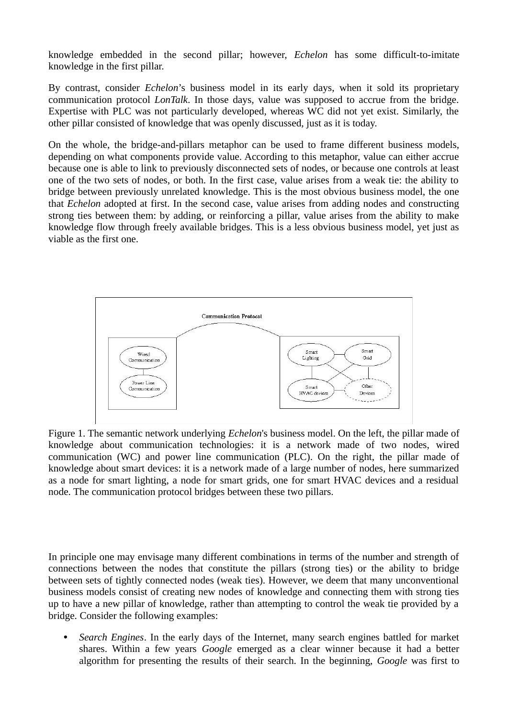knowledge embedded in the second pillar; however, *Echelon* has some difficult-to-imitate knowledge in the first pillar.

By contrast, consider *Echelon*'s business model in its early days, when it sold its proprietary communication protocol *LonTalk*. In those days, value was supposed to accrue from the bridge. Expertise with PLC was not particularly developed, whereas WC did not yet exist. Similarly, the other pillar consisted of knowledge that was openly discussed, just as it is today.

On the whole, the bridge-and-pillars metaphor can be used to frame different business models, depending on what components provide value. According to this metaphor, value can either accrue because one is able to link to previously disconnected sets of nodes, or because one controls at least one of the two sets of nodes, or both. In the first case, value arises from a weak tie: the ability to bridge between previously unrelated knowledge. This is the most obvious business model, the one that *Echelon* adopted at first. In the second case, value arises from adding nodes and constructing strong ties between them: by adding, or reinforcing a pillar, value arises from the ability to make knowledge flow through freely available bridges. This is a less obvious business model, yet just as viable as the first one.



Figure 1. The semantic network underlying *Echelon*'s business model. On the left, the pillar made of knowledge about communication technologies: it is a network made of two nodes, wired communication (WC) and power line communication (PLC). On the right, the pillar made of knowledge about smart devices: it is a network made of a large number of nodes, here summarized as a node for smart lighting, a node for smart grids, one for smart HVAC devices and a residual node. The communication protocol bridges between these two pillars.

In principle one may envisage many different combinations in terms of the number and strength of connections between the nodes that constitute the pillars (strong ties) or the ability to bridge between sets of tightly connected nodes (weak ties). However, we deem that many unconventional business models consist of creating new nodes of knowledge and connecting them with strong ties up to have a new pillar of knowledge, rather than attempting to control the weak tie provided by a bridge. Consider the following examples:

• *Search Engines*. In the early days of the Internet, many search engines battled for market shares. Within a few years *Google* emerged as a clear winner because it had a better algorithm for presenting the results of their search. In the beginning, *Google* was first to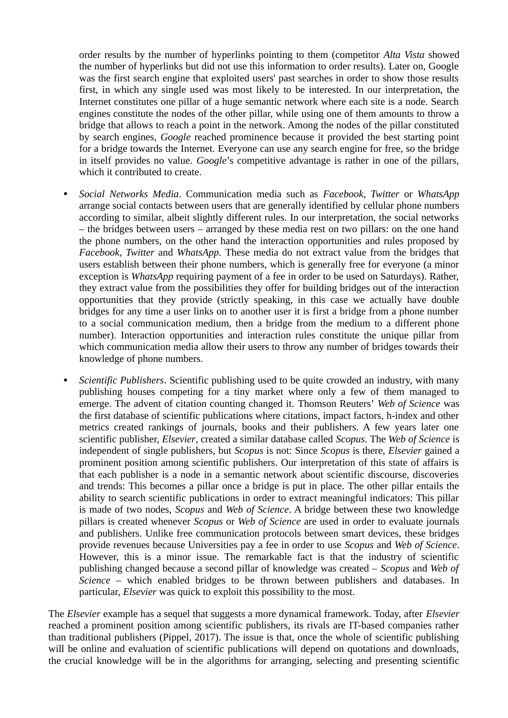order results by the number of hyperlinks pointing to them (competitor *Alta Vista* showed the number of hyperlinks but did not use this information to order results). Later on, Google was the first search engine that exploited users' past searches in order to show those results first, in which any single used was most likely to be interested. In our interpretation, the Internet constitutes one pillar of a huge semantic network where each site is a node. Search engines constitute the nodes of the other pillar, while using one of them amounts to throw a bridge that allows to reach a point in the network. Among the nodes of the pillar constituted by search engines, *Google* reached prominence because it provided the best starting point for a bridge towards the Internet. Everyone can use any search engine for free, so the bridge in itself provides no value. *Google*'s competitive advantage is rather in one of the pillars, which it contributed to create.

- *Social Networks Media*. Communication media such as *Facebook*, *Twitter* or *WhatsApp* arrange social contacts between users that are generally identified by cellular phone numbers according to similar, albeit slightly different rules. In our interpretation, the social networks – the bridges between users – arranged by these media rest on two pillars: on the one hand the phone numbers, on the other hand the interaction opportunities and rules proposed by *Facebook*, *Twitter* and *WhatsApp.* These media do not extract value from the bridges that users establish between their phone numbers, which is generally free for everyone (a minor exception is *WhatsApp* requiring payment of a fee in order to be used on Saturdays). Rather, they extract value from the possibilities they offer for building bridges out of the interaction opportunities that they provide (strictly speaking, in this case we actually have double bridges for any time a user links on to another user it is first a bridge from a phone number to a social communication medium, then a bridge from the medium to a different phone number). Interaction opportunities and interaction rules constitute the unique pillar from which communication media allow their users to throw any number of bridges towards their knowledge of phone numbers.
- *Scientific Publishers*. Scientific publishing used to be quite crowded an industry, with many publishing houses competing for a tiny market where only a few of them managed to emerge. The advent of citation counting changed it. Thomson Reuters' *Web of Science* was the first database of scientific publications where citations, impact factors, h-index and other metrics created rankings of journals, books and their publishers. A few years later one scientific publisher, *Elsevier*, created a similar database called *Scopus*. The *Web of Science* is independent of single publishers, but *Scopus* is not: Since *Scopus* is there, *Elsevier* gained a prominent position among scientific publishers. Our interpretation of this state of affairs is that each publisher is a node in a semantic network about scientific discourse, discoveries and trends: This becomes a pillar once a bridge is put in place. The other pillar entails the ability to search scientific publications in order to extract meaningful indicators: This pillar is made of two nodes, *Scopus* and *Web of Science*. A bridge between these two knowledge pillars is created whenever *Scopus* or *Web of Science* are used in order to evaluate journals and publishers. Unlike free communication protocols between smart devices, these bridges provide revenues because Universities pay a fee in order to use *Scopus* and *Web of Science*. However, this is a minor issue. The remarkable fact is that the industry of scientific publishing changed because a second pillar of knowledge was created – *Scopus* and *Web of Science* – which enabled bridges to be thrown between publishers and databases. In particular, *Elsevier* was quick to exploit this possibility to the most.

The *Elsevier* example has a sequel that suggests a more dynamical framework. Today, after *Elsevier* reached a prominent position among scientific publishers, its rivals are IT-based companies rather than traditional publishers (Pippel, 2017). The issue is that, once the whole of scientific publishing will be online and evaluation of scientific publications will depend on quotations and downloads, the crucial knowledge will be in the algorithms for arranging, selecting and presenting scientific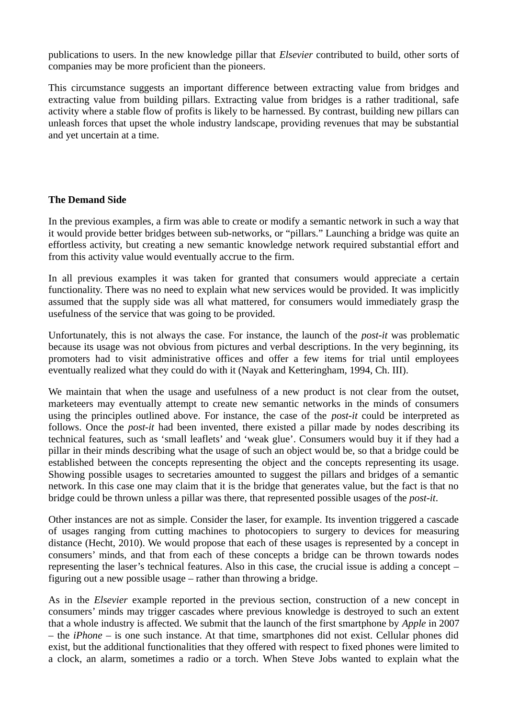publications to users. In the new knowledge pillar that *Elsevier* contributed to build, other sorts of companies may be more proficient than the pioneers.

This circumstance suggests an important difference between extracting value from bridges and extracting value from building pillars. Extracting value from bridges is a rather traditional, safe activity where a stable flow of profits is likely to be harnessed. By contrast, building new pillars can unleash forces that upset the whole industry landscape, providing revenues that may be substantial and yet uncertain at a time.

## **The Demand Side**

In the previous examples, a firm was able to create or modify a semantic network in such a way that it would provide better bridges between sub-networks, or "pillars." Launching a bridge was quite an effortless activity, but creating a new semantic knowledge network required substantial effort and from this activity value would eventually accrue to the firm.

In all previous examples it was taken for granted that consumers would appreciate a certain functionality. There was no need to explain what new services would be provided. It was implicitly assumed that the supply side was all what mattered, for consumers would immediately grasp the usefulness of the service that was going to be provided.

Unfortunately, this is not always the case. For instance, the launch of the *post-it* was problematic because its usage was not obvious from pictures and verbal descriptions. In the very beginning, its promoters had to visit administrative offices and offer a few items for trial until employees eventually realized what they could do with it (Nayak and Ketteringham, 1994, Ch. III).

We maintain that when the usage and usefulness of a new product is not clear from the outset, marketeers may eventually attempt to create new semantic networks in the minds of consumers using the principles outlined above. For instance, the case of the *post-it* could be interpreted as follows. Once the *post-it* had been invented, there existed a pillar made by nodes describing its technical features, such as 'small leaflets' and 'weak glue'. Consumers would buy it if they had a pillar in their minds describing what the usage of such an object would be, so that a bridge could be established between the concepts representing the object and the concepts representing its usage. Showing possible usages to secretaries amounted to suggest the pillars and bridges of a semantic network. In this case one may claim that it is the bridge that generates value, but the fact is that no bridge could be thrown unless a pillar was there, that represented possible usages of the *post-it*.

Other instances are not as simple. Consider the laser, for example. Its invention triggered a cascade of usages ranging from cutting machines to photocopiers to surgery to devices for measuring distance (Hecht, 2010). We would propose that each of these usages is represented by a concept in consumers' minds, and that from each of these concepts a bridge can be thrown towards nodes representing the laser's technical features. Also in this case, the crucial issue is adding a concept – figuring out a new possible usage – rather than throwing a bridge.

As in the *Elsevier* example reported in the previous section, construction of a new concept in consumers' minds may trigger cascades where previous knowledge is destroyed to such an extent that a whole industry is affected. We submit that the launch of the first smartphone by *Apple* in 2007 – the *iPhone* – is one such instance. At that time, smartphones did not exist. Cellular phones did exist, but the additional functionalities that they offered with respect to fixed phones were limited to a clock, an alarm, sometimes a radio or a torch. When Steve Jobs wanted to explain what the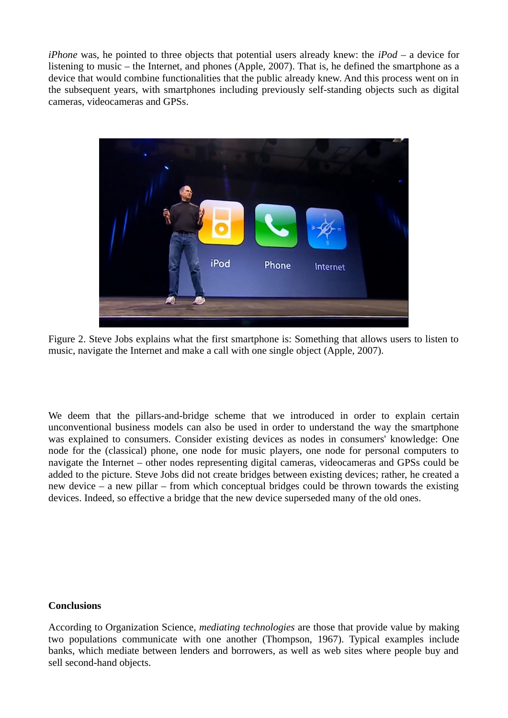*iPhone* was, he pointed to three objects that potential users already knew: the *iPod* – a device for listening to music – the Internet, and phones (Apple, 2007). That is, he defined the smartphone as a device that would combine functionalities that the public already knew. And this process went on in the subsequent years, with smartphones including previously self-standing objects such as digital cameras, videocameras and GPSs.



Figure 2. Steve Jobs explains what the first smartphone is: Something that allows users to listen to music, navigate the Internet and make a call with one single object (Apple, 2007).

We deem that the pillars-and-bridge scheme that we introduced in order to explain certain unconventional business models can also be used in order to understand the way the smartphone was explained to consumers. Consider existing devices as nodes in consumers' knowledge: One node for the (classical) phone, one node for music players, one node for personal computers to navigate the Internet – other nodes representing digital cameras, videocameras and GPSs could be added to the picture. Steve Jobs did not create bridges between existing devices; rather, he created a new device – a new pillar – from which conceptual bridges could be thrown towards the existing devices. Indeed, so effective a bridge that the new device superseded many of the old ones.

# **Conclusions**

According to Organization Science, *mediating technologies* are those that provide value by making two populations communicate with one another (Thompson, 1967). Typical examples include banks, which mediate between lenders and borrowers, as well as web sites where people buy and sell second-hand objects.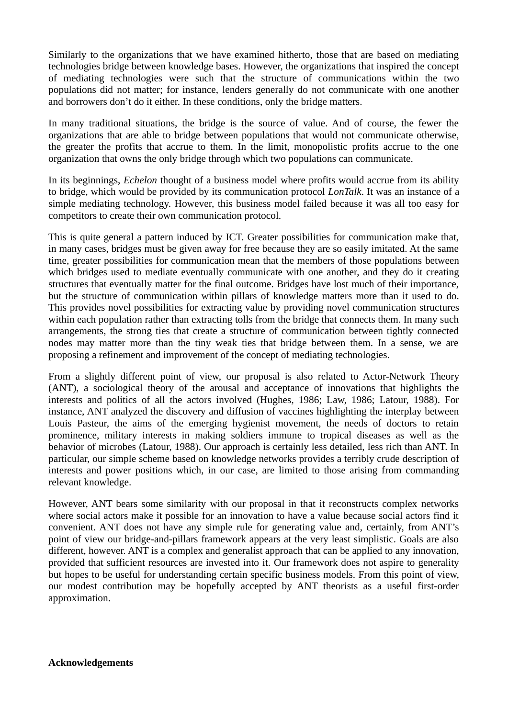Similarly to the organizations that we have examined hitherto, those that are based on mediating technologies bridge between knowledge bases. However, the organizations that inspired the concept of mediating technologies were such that the structure of communications within the two populations did not matter; for instance, lenders generally do not communicate with one another and borrowers don't do it either. In these conditions, only the bridge matters.

In many traditional situations, the bridge is the source of value. And of course, the fewer the organizations that are able to bridge between populations that would not communicate otherwise, the greater the profits that accrue to them. In the limit, monopolistic profits accrue to the one organization that owns the only bridge through which two populations can communicate.

In its beginnings, *Echelon* thought of a business model where profits would accrue from its ability to bridge, which would be provided by its communication protocol *LonTalk*. It was an instance of a simple mediating technology. However, this business model failed because it was all too easy for competitors to create their own communication protocol.

This is quite general a pattern induced by ICT. Greater possibilities for communication make that, in many cases, bridges must be given away for free because they are so easily imitated. At the same time, greater possibilities for communication mean that the members of those populations between which bridges used to mediate eventually communicate with one another, and they do it creating structures that eventually matter for the final outcome. Bridges have lost much of their importance, but the structure of communication within pillars of knowledge matters more than it used to do. This provides novel possibilities for extracting value by providing novel communication structures within each population rather than extracting tolls from the bridge that connects them. In many such arrangements, the strong ties that create a structure of communication between tightly connected nodes may matter more than the tiny weak ties that bridge between them. In a sense, we are proposing a refinement and improvement of the concept of mediating technologies.

From a slightly different point of view, our proposal is also related to Actor-Network Theory (ANT), a sociological theory of the arousal and acceptance of innovations that highlights the interests and politics of all the actors involved (Hughes, 1986; Law, 1986; Latour, 1988). For instance, ANT analyzed the discovery and diffusion of vaccines highlighting the interplay between Louis Pasteur, the aims of the emerging hygienist movement, the needs of doctors to retain prominence, military interests in making soldiers immune to tropical diseases as well as the behavior of microbes (Latour, 1988). Our approach is certainly less detailed, less rich than ANT. In particular, our simple scheme based on knowledge networks provides a terribly crude description of interests and power positions which, in our case, are limited to those arising from commanding relevant knowledge.

However, ANT bears some similarity with our proposal in that it reconstructs complex networks where social actors make it possible for an innovation to have a value because social actors find it convenient. ANT does not have any simple rule for generating value and, certainly, from ANT's point of view our bridge-and-pillars framework appears at the very least simplistic. Goals are also different, however. ANT is a complex and generalist approach that can be applied to any innovation, provided that sufficient resources are invested into it. Our framework does not aspire to generality but hopes to be useful for understanding certain specific business models. From this point of view, our modest contribution may be hopefully accepted by ANT theorists as a useful first-order approximation.

**Acknowledgements**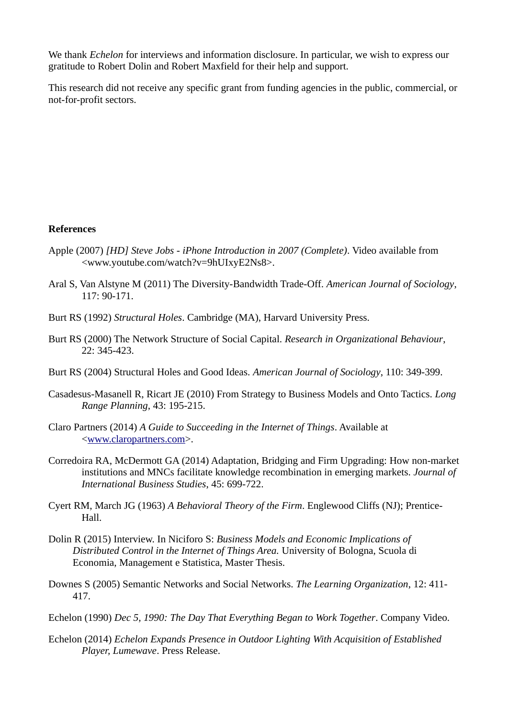We thank *Echelon* for interviews and information disclosure. In particular, we wish to express our gratitude to Robert Dolin and Robert Maxfield for their help and support.

This research did not receive any specific grant from funding agencies in the public, commercial, or not-for-profit sectors.

#### **References**

- Apple (2007) *[HD] Steve Jobs iPhone Introduction in 2007 (Complete)*. Video available from <www.youtube.com/watch?v=9hUIxyE2Ns8>.
- Aral S, Van Alstyne M (2011) The Diversity-Bandwidth Trade-Off. *American Journal of Sociology*, 117: 90-171.
- Burt RS (1992) *Structural Holes*. Cambridge (MA), Harvard University Press.
- Burt RS (2000) The Network Structure of Social Capital. *Research in Organizational Behaviour*, 22: 345-423.
- Burt RS (2004) Structural Holes and Good Ideas. *American Journal of Sociology*, 110: 349-399.
- Casadesus-Masanell R, Ricart JE (2010) From Strategy to Business Models and Onto Tactics. *Long Range Planning*, 43: 195-215.
- Claro Partners (2014) *A Guide to Succeeding in the Internet of Things*. Available at <www.claropartners.com>.
- Corredoira RA, McDermott GA (2014) Adaptation, Bridging and Firm Upgrading: How non-market institutions and MNCs facilitate knowledge recombination in emerging markets. *Journal of International Business Studies*, 45: 699-722.
- Cyert RM, March JG (1963) *A Behavioral Theory of the Firm*. Englewood Cliffs (NJ); Prentice-Hall.
- Dolin R (2015) Interview. In Niciforo S: *Business Models and Economic Implications of Distributed Control in the Internet of Things Area.* University of Bologna, Scuola di Economia, Management e Statistica, Master Thesis.
- Downes S (2005) Semantic Networks and Social Networks. *The Learning Organization*, 12: 411- 417.

Echelon (1990) *Dec 5, 1990: The Day That Everything Began to Work Together*. Company Video.

Echelon (2014) *Echelon Expands Presence in Outdoor Lighting With Acquisition of Established Player, Lumewave*. Press Release.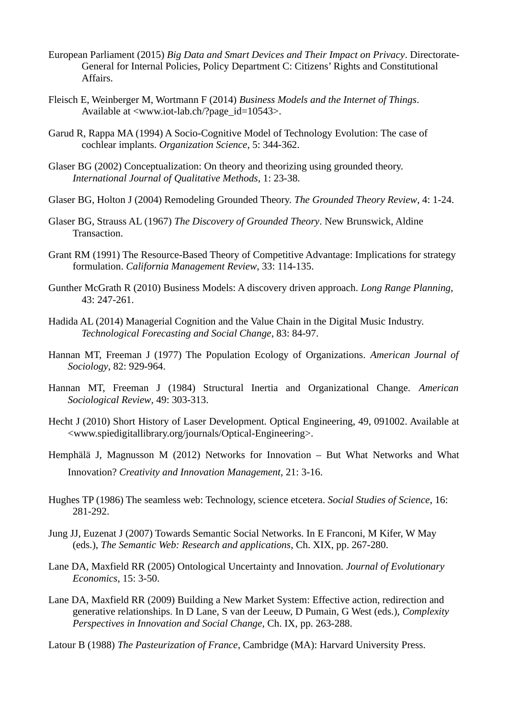- European Parliament (2015) *Big Data and Smart Devices and Their Impact on Privacy*. Directorate-General for Internal Policies, Policy Department C: Citizens' Rights and Constitutional Affairs.
- Fleisch E, Weinberger M, Wortmann F (2014) *Business Models and the Internet of Things*. Available at <www.iot-lab.ch/?page\_id=10543>.
- Garud R, Rappa MA (1994) A Socio-Cognitive Model of Technology Evolution: The case of cochlear implants. *Organization Science*, 5: 344-362.
- Glaser BG (2002) Conceptualization: On theory and theorizing using grounded theory. *International Journal of Qualitative Methods*, 1: 23-38.
- Glaser BG, Holton J (2004) Remodeling Grounded Theory. *The Grounded Theory Review*, 4: 1-24.
- Glaser BG, Strauss AL (1967) *The Discovery of Grounded Theory*. New Brunswick, Aldine Transaction.
- Grant RM (1991) The Resource-Based Theory of Competitive Advantage: Implications for strategy formulation. *California Management Review*, 33: 114-135.
- Gunther McGrath R (2010) Business Models: A discovery driven approach. *Long Range Planning*, 43: 247-261.
- Hadida AL (2014) Managerial Cognition and the Value Chain in the Digital Music Industry. *Technological Forecasting and Social Change*, 83: 84-97.
- Hannan MT, Freeman J (1977) The Population Ecology of Organizations. *American Journal of Sociology*, 82: 929-964.
- Hannan MT, Freeman J (1984) Structural Inertia and Organizational Change. *American Sociological Review*, 49: 303-313.
- Hecht J (2010) Short History of Laser Development. Optical Engineering, 49, 091002. Available at <www.spiedigitallibrary.org/journals/Optical-Engineering>.
- Hemphälä J, Magnusson M (2012) Networks for Innovation But What Networks and What Innovation? *Creativity and Innovation Management*, 21: 3-16.
- Hughes TP (1986) The seamless web: Technology, science etcetera. *Social Studies of Science*, 16: 281-292.
- Jung JJ, Euzenat J (2007) Towards Semantic Social Networks. In E Franconi, M Kifer, W May (eds.), *The Semantic Web: Research and applications*, Ch. XIX, pp. 267-280.
- Lane DA, Maxfield RR (2005) Ontological Uncertainty and Innovation. *Journal of Evolutionary Economics*, 15: 3-50.
- Lane DA, Maxfield RR (2009) Building a New Market System: Effective action, redirection and generative relationships. In D Lane, S van der Leeuw, D Pumain, G West (eds.), *Complexity Perspectives in Innovation and Social Change*, Ch. IX, pp. 263-288.
- Latour B (1988) *The Pasteurization of France*, Cambridge (MA): Harvard University Press.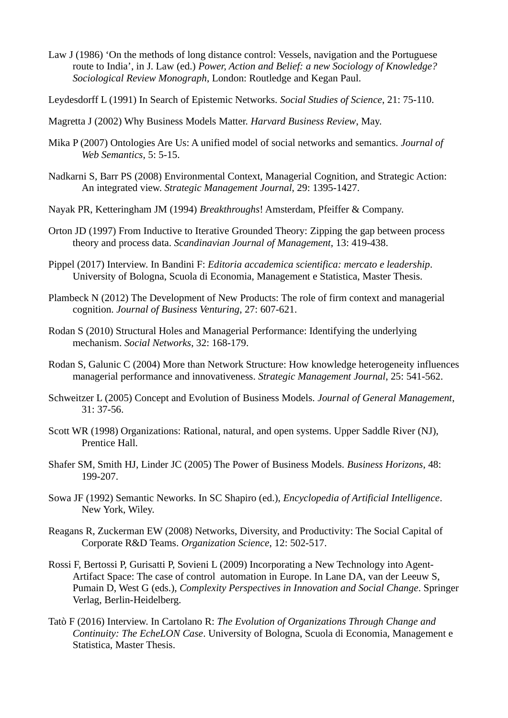- Law J (1986) 'On the methods of long distance control: Vessels, navigation and the Portuguese route to India', in J. Law (ed.) *Power, Action and Belief: a new Sociology of Knowledge? Sociological Review Monograph*, London: Routledge and Kegan Paul.
- Leydesdorff L (1991) In Search of Epistemic Networks. *Social Studies of Science*, 21: 75-110.
- Magretta J (2002) Why Business Models Matter. *Harvard Business Review*, May.
- Mika P (2007) Ontologies Are Us: A unified model of social networks and semantics. *Journal of Web Semantics*, 5: 5-15.
- Nadkarni S, Barr PS (2008) Environmental Context, Managerial Cognition, and Strategic Action: An integrated view. *Strategic Management Journal*, 29: 1395-1427.
- Nayak PR, Ketteringham JM (1994) *Breakthroughs*! Amsterdam, Pfeiffer & Company.
- Orton JD (1997) From Inductive to Iterative Grounded Theory: Zipping the gap between process theory and process data. *Scandinavian Journal of Management*, 13: 419-438.
- Pippel (2017) Interview. In Bandini F: *Editoria accademica scientifica: mercato e leadership*. University of Bologna, Scuola di Economia, Management e Statistica, Master Thesis.
- Plambeck N (2012) The Development of New Products: The role of firm context and managerial cognition. *Journal of Business Venturing*, 27: 607-621.
- Rodan S (2010) Structural Holes and Managerial Performance: Identifying the underlying mechanism. *Social Networks*, 32: 168-179.
- Rodan S, Galunic C (2004) More than Network Structure: How knowledge heterogeneity influences managerial performance and innovativeness. *Strategic Management Journal*, 25: 541-562.
- Schweitzer L (2005) Concept and Evolution of Business Models. *Journal of General Management*, 31: 37-56.
- Scott WR (1998) Organizations: Rational, natural, and open systems. Upper Saddle River (NJ), Prentice Hall.
- Shafer SM, Smith HJ, Linder JC (2005) The Power of Business Models. *Business Horizons*, 48: 199-207.
- Sowa JF (1992) Semantic Neworks. In SC Shapiro (ed.), *Encyclopedia of Artificial Intelligence*. New York, Wiley.
- Reagans R, Zuckerman EW (2008) Networks, Diversity, and Productivity: The Social Capital of Corporate R&D Teams. *Organization Science*, 12: 502-517.
- Rossi F, Bertossi P, Gurisatti P, Sovieni L (2009) Incorporating a New Technology into Agent-Artifact Space: The case of control automation in Europe. In Lane DA, van der Leeuw S, Pumain D, West G (eds.), *Complexity Perspectives in Innovation and Social Change*. Springer Verlag, Berlin-Heidelberg.
- Tatò F (2016) Interview. In Cartolano R: *The Evolution of Organizations Through Change and Continuity: The EcheLON Case*. University of Bologna, Scuola di Economia, Management e Statistica, Master Thesis.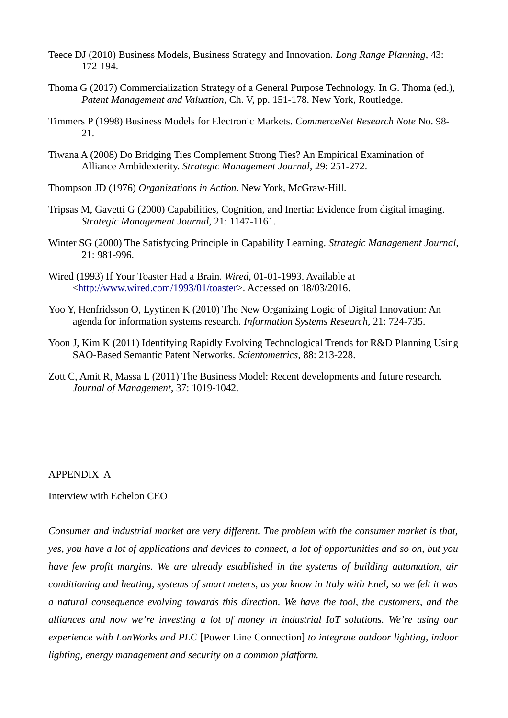- Teece DJ (2010) Business Models, Business Strategy and Innovation. *Long Range Planning*, 43: 172-194.
- Thoma G (2017) Commercialization Strategy of a General Purpose Technology. In G. Thoma (ed.), *Patent Management and Valuation*, Ch. V, pp. 151-178. New York, Routledge.
- Timmers P (1998) Business Models for Electronic Markets. *CommerceNet Research Note* No. 98- 21.
- Tiwana A (2008) Do Bridging Ties Complement Strong Ties? An Empirical Examination of Alliance Ambidexterity. *Strategic Management Journal*, 29: 251-272.
- Thompson JD (1976) *Organizations in Action*. New York, McGraw-Hill.
- Tripsas M, Gavetti G (2000) Capabilities, Cognition, and Inertia: Evidence from digital imaging. *Strategic Management Journal*, 21: 1147-1161.
- Winter SG (2000) The Satisfycing Principle in Capability Learning. *Strategic Management Journal*, 21: 981-996.
- Wired (1993) If Your Toaster Had a Brain. *Wired*, 01-01-1993. Available at <http://www.wired.com/1993/01/toaster>. Accessed on 18/03/2016.
- Yoo Y, Henfridsson O, Lyytinen K (2010) The New Organizing Logic of Digital Innovation: An agenda for information systems research. *Information Systems Research*, 21: 724-735.
- Yoon J, Kim K (2011) Identifying Rapidly Evolving Technological Trends for R&D Planning Using SAO-Based Semantic Patent Networks. *Scientometrics*, 88: 213-228.
- Zott C, Amit R, Massa L (2011) The Business Model: Recent developments and future research. *Journal of Management*, 37: 1019-1042.

#### APPENDIX A

Interview with Echelon CEO

*Consumer and industrial market are very different. The problem with the consumer market is that, yes, you have a lot of applications and devices to connect, a lot of opportunities and so on, but you have few profit margins. We are already established in the systems of building automation, air conditioning and heating, systems of smart meters, as you know in Italy with Enel, so we felt it was a natural consequence evolving towards this direction. We have the tool, the customers, and the alliances and now we're investing a lot of money in industrial IoT solutions. We're using our experience with LonWorks and PLC* [Power Line Connection] *to integrate outdoor lighting, indoor lighting, energy management and security on a common platform.*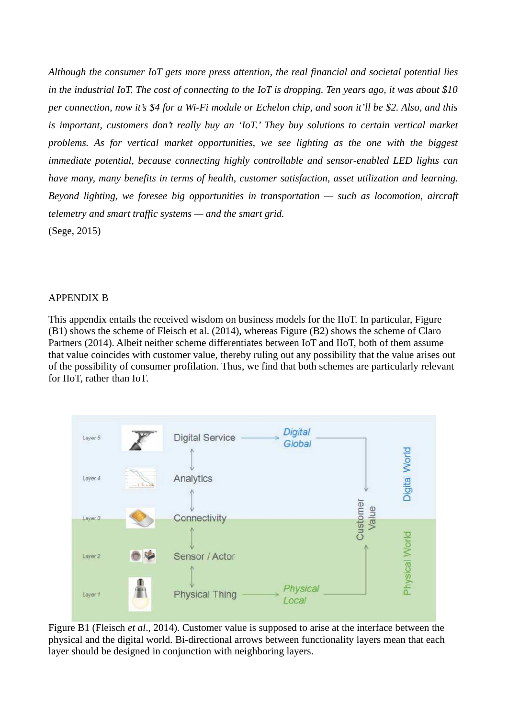*Although the consumer IoT gets more press attention, the real financial and societal potential lies in the industrial IoT. The cost of connecting to the IoT is dropping. Ten years ago, it was about \$10 per connection, now it's \$4 for a Wi-Fi module or Echelon chip, and soon it'll be \$2. Also, and this is important, customers don't really buy an 'IoT.' They buy solutions to certain vertical market problems. As for vertical market opportunities, we see lighting as the one with the biggest immediate potential, because connecting highly controllable and sensor-enabled LED lights can have many, many benefits in terms of health, customer satisfaction, asset utilization and learning. Beyond lighting, we foresee big opportunities in transportation — such as locomotion, aircraft telemetry and smart traffic systems — and the smart grid.* (Sege, 2015)

## APPENDIX B

This appendix entails the received wisdom on business models for the IIoT. In particular, Figure (B1) shows the scheme of Fleisch et al. (2014), whereas Figure (B2) shows the scheme of Claro Partners (2014). Albeit neither scheme differentiates between IoT and IIoT, both of them assume that value coincides with customer value, thereby ruling out any possibility that the value arises out of the possibility of consumer profilation. Thus, we find that both schemes are particularly relevant for IIoT, rather than IoT.



Figure B1 (Fleisch *et al*., 2014). Customer value is supposed to arise at the interface between the physical and the digital world. Bi-directional arrows between functionality layers mean that each layer should be designed in conjunction with neighboring layers.